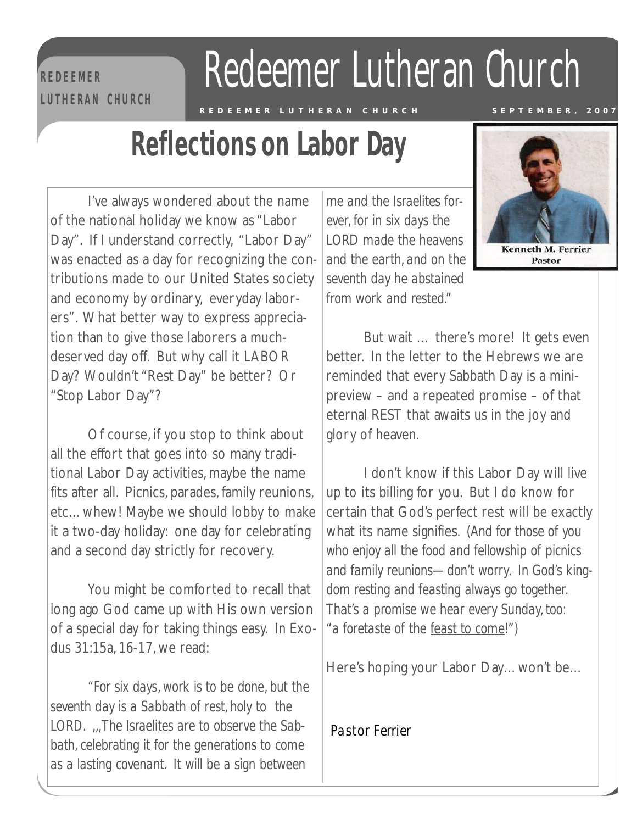## **R E D EE M ER L U T H E RA N C H U RC H**

# Redeemer Lutheran Church

#### REDEEMER LUTHERAN CHURCH SEPTEMBER, 2001

## **Reflections on Labor Day**

I've always wondered about the name of the national holiday we know as "Labor Day". If I understand correctly, "Labor Day" was enacted as a day for recognizing the contributions made to our United States society and economy by ordinary, everyday laborers". What better way to express appreciation than to give those laborers a muchdeserved day off. But why call it LABOR Day? Wouldn't "Rest Day" be better? Or "Stop Labor Day"?

Of course, if you stop to think about all the effort that goes into so many traditional Labor Day activities, maybe the name fits after all. Picnics, parades, family reunions, etc…whew! Maybe we should lobby to make it a two-day holiday: one day for celebrating and a second day strictly for recovery.

You might be comforted to recall that long ago God came up with His own version of a special day for taking things easy. In Exodus 31:15a, 16-17, we read:

*"For six days, work is to be done, but the seventh day is a Sabbath of rest, holy to the LORD. ,,,The Israelites are to observe the Sabbath, celebrating it for the generations to come as a lasting covenant. It will be a sign between* 

*me and the Israelites forever, for in six days the LORD made the heavens and the earth, and on the seventh day he abstained from work and rested."* 



Kenneth M. Ferrier Pastor

But wait … there's more! It gets even better. In the letter to the Hebrews we are reminded that every Sabbath Day is a minipreview – and a repeated promise – of that eternal REST that awaits us in the joy and glory of heaven.

I don't know if this Labor Day will live up to its billing for you. But I do know for certain that God's perfect rest will be exactly what its name signifies*. (And for those of you who enjoy all the food and fellowship of picnics and family reunions—don't worry. In God's kingdom resting and feasting always go together. That's a promise we hear every Sunday, too: "a foretaste of the feast to come!")*

Here's hoping your Labor Day…won't be…

*Pastor Ferrier*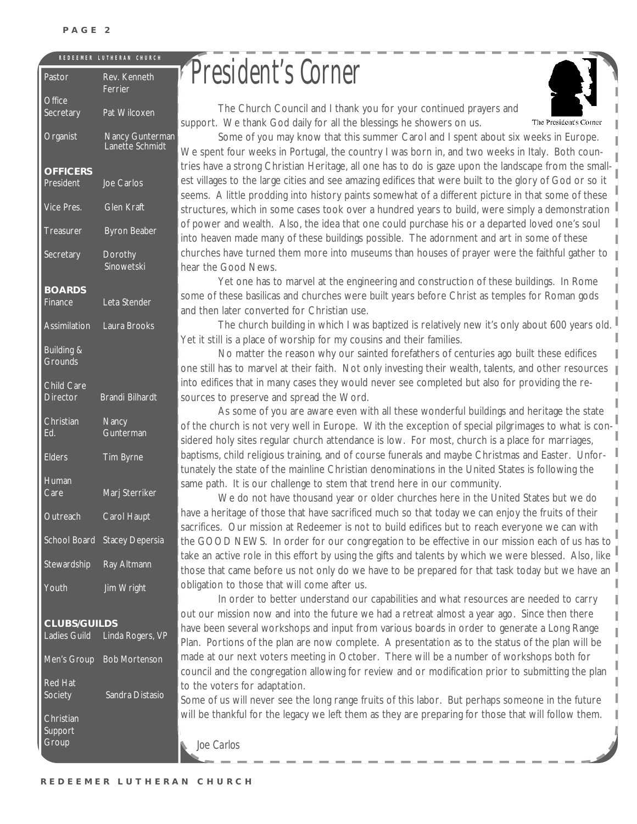#### **R E D E E M E R L U T H E R A N CH U R CH**

| Pastor                              | Rev. Kenneth<br>Ferrier             |
|-------------------------------------|-------------------------------------|
| Office                              |                                     |
| Secretary                           | Pat Wilcoxen                        |
| Organist                            | Nancy Gunterman<br>Lanette Schmidt  |
| <b>OFFICERS</b><br><b>President</b> | Joe Carlos                          |
| Vice Pres.                          | Glen Kraft                          |
| Treasurer                           | <b>Byron Beaber</b>                 |
| <b>Secretary</b>                    | Dorothy<br>Sinowetski               |
| <b>BOARDS</b><br>Finance            | Leta Stender                        |
| <b>Assimilation</b>                 | Laura Brooks                        |
| Building &<br><b>Grounds</b>        |                                     |
| Child Care<br><b>Director</b>       | <b>Brandi Bilhardt</b>              |
| Christian<br>Ed.                    | <b>Nancy</b><br>Gunterman           |
| <b>Elders</b>                       | Tim Byrne                           |
| Human<br>Care                       | Marj Sterriker                      |
| Outreach                            | Carol Haupt                         |
|                                     | <b>School Board Stacey Depersia</b> |
| <b>Stewardship</b>                  | Ray Altmann                         |
| Youth                               | Jim Wright                          |
| <b>CLUBS/GUILDS</b>                 | Ladies Guild Linda Rogers, VP       |
|                                     | Men's Group Bob Mortenson           |
| <b>Red Hat</b><br>Society           | Sandra Distasio                     |
| Christian<br>Support<br>Group       |                                     |

## President' s Corner

The Church Council and I thank you for your continued prayers and support. We thank God daily for all the blessings he showers on us.



I

Some of you may know that this summer Carol and I spent about six weeks in Europe. We spent four weeks in Portugal, the country I was born in, and two weeks in Italy. Both countries have a strong Christian Heritage, all one has to do is gaze upon the landscape from the smallest villages to the large cities and see amazing edifices that were built to the glory of God or so it seems. A little prodding into history paints somewhat of a different picture in that some of these structures, which in some cases took over a hundred years to build, were simply a demonstration of power and wealth. Also, the idea that one could purchase his or a departed loved one's soul into heaven made many of these buildings possible. The adornment and art in some of these churches have turned them more into museums than houses of prayer were the faithful gather to hear the Good News.

Yet one has to marvel at the engineering and construction of these buildings. In Rome some of these basilicas and churches were built years before Christ as temples for Roman gods and then later converted for Christian use.

The church building in which I was baptized is relatively new it's only about 600 years old. If Yet it still is a place of worship for my cousins and their families.

No matter the reason why our sainted forefathers of centuries ago built these edifices one still has to marvel at their faith. Not only investing their wealth, talents, and other resources into edifices that in many cases they would never see completed but also for providing the resources to preserve and spread the Word.

As some of you are aware even with all these wonderful buildings and heritage the state of the church is not very well in Europe. With the exception of special pilgrimages to what is considered holy sites regular church attendance is low. For most, church is a place for marriages, baptisms, child religious training, and of course funerals and maybe Christmas and Easter. Unfortunately the state of the mainline Christian denominations in the United States is following the same path. It is our challenge to stem that trend here in our community.

We do not have thousand year or older churches here in the United States but we do have a heritage of those that have sacrificed much so that today we can enjoy the fruits of their sacrifices. Our mission at Redeemer is not to build edifices but to reach everyone we can with the GOOD NEWS. In order for our congregation to be effective in our mission each of us has to take an active role in this effort by using the gifts and talents by which we were blessed. Also, like those that came before us not only do we have to be prepared for that task today but we have an  $\mathbb I$ obligation to those that will come after us.

In order to better understand our capabilities and what resources are needed to carry out our mission now and into the future we had a retreat almost a year ago. Since then there have been several workshops and input from various boards in order to generate a Long Range Plan. Portions of the plan are now complete. A presentation as to the status of the plan will be made at our next voters meeting in October. There will be a number of workshops both for council and the congregation allowing for review and or modification prior to submitting the plan to the voters for adaptation.

Some of us will never see the long range fruits of this labor. But perhaps someone in the future will be thankful for the legacy we left them as they are preparing for those that will follow them.

 *Joe Carlos*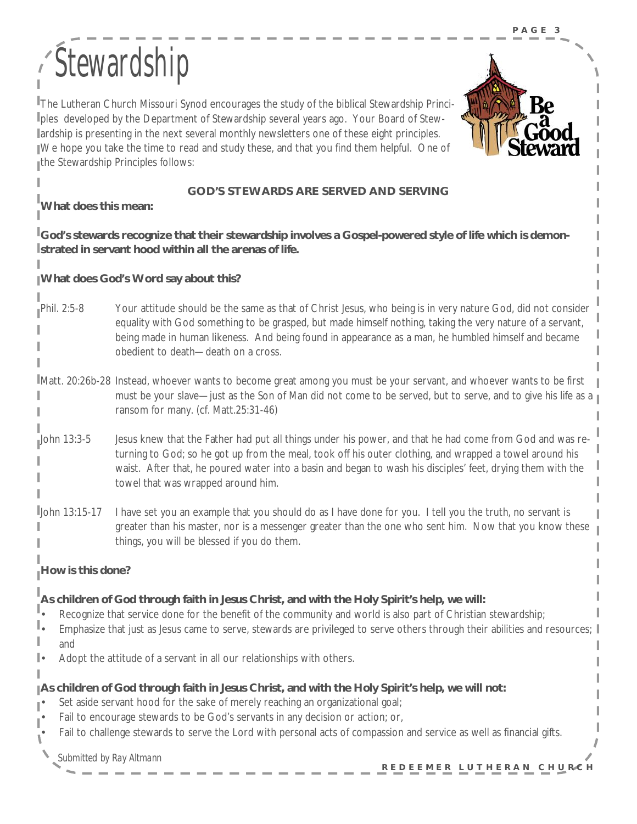

The Lutheran Church Missouri Synod encourages the study of the biblical Stewardship Principles developed by the Department of Stewardship several years ago. Your Board of Stewardship is presenting in the next several monthly newsletters one of these eight principles. We hope you take the time to read and study these, and that you find them helpful. One of the Stewardship Principles follows:

#### **GOD'S STEWARDS ARE SERVED AND SERVING**

**What does this mean:** 

**God's stewards recognize that their stewardship involves a Gospel-powered style of life which is demonstrated in servant hood within all the arenas of life.** 

**What does God's Word say about this?** 

- Phil. 2:5-8 Your attitude should be the same as that of Christ Jesus, who being is in very nature God, did not consider equality with God something to be grasped, but made himself nothing, taking the very nature of a servant, being made in human likeness. And being found in appearance as a man, he humbled himself and became obedient to death—death on a cross.
- Matt. 20:26b-28 Instead, whoever wants to become great among you must be your servant, and whoever wants to be first must be your slave—just as the Son of Man did not come to be served, but to serve, and to give his life as a ransom for many. (cf. Matt.25:31-46)
- John 13:3-5 Jesus knew that the Father had put all things under his power, and that he had come from God and was returning to God; so he got up from the meal, took off his outer clothing, and wrapped a towel around his waist. After that, he poured water into a basin and began to wash his disciples' feet, drying them with the towel that was wrapped around him.
- John 13:15-17 I have set you an example that you should do as I have done for you. I tell you the truth, no servant is greater than his master, nor is a messenger greater than the one who sent him. Now that you know these things, you will be blessed if you do them.

**How is this done?** 

**As children of God through faith in Jesus Christ, and with the Holy Spirit's help, we will:**

- Recognize that service done for the benefit of the community and world is also part of Christian stewardship;
- Emphasize that just as Jesus came to serve, stewards are privileged to serve others through their abilities and resources; and
- Adopt the attitude of a servant in all our relationships with others.

**As children of God through faith in Jesus Christ, and with the Holy Spirit's help, we will not:**

- Set aside servant hood for the sake of merely reaching an organizational goal;
- Fail to encourage stewards to be God's servants in any decision or action; or,
- Fail to challenge stewards to serve the Lord with personal acts of compassion and service as well as financial gifts.

 *Submitted by Ray Altmann*

**R E D E E M E R L U T H E R A N C H U R CH**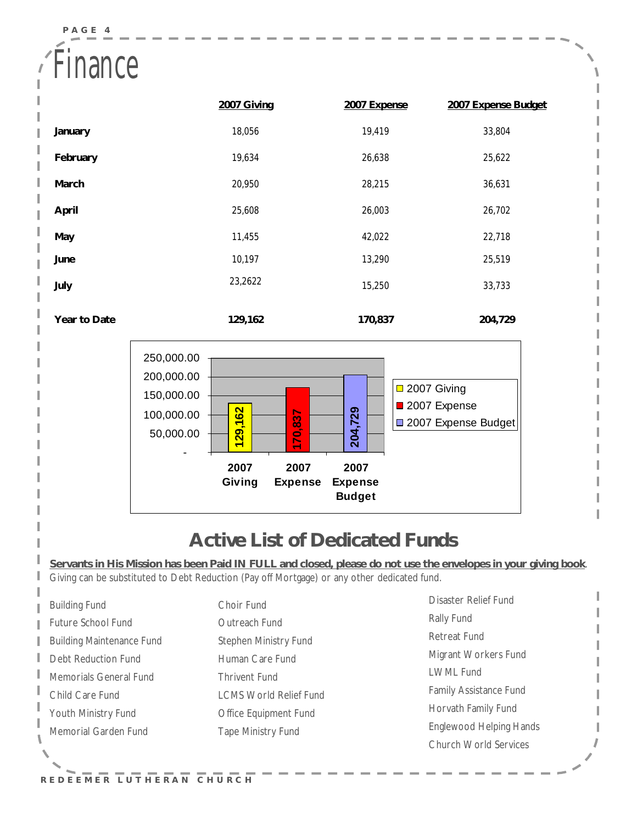# **Finance**

**P A G E 4** 

|              | 2007 Giving | 2007 Expense | 2007 Expense Budget |
|--------------|-------------|--------------|---------------------|
| January      | 18,056      | 19,419       | 33,804              |
| February     | 19,634      | 26,638       | 25,622              |
| March        | 20,950      | 28,215       | 36,631              |
| April        | 25,608      | 26,003       | 26,702              |
| May          | 11,455      | 42,022       | 22,718              |
| June         | 10,197      | 13,290       | 25,519              |
| July         | 23,2622     | 15,250       | 33,733              |
| Year to Date | 129,162     | 170,837      | 204,729             |



## **Active List of Dedicated Funds**

Servants in His Mission has been Paid IN FULL and closed, please do not use the envelopes in your giving book. Giving can be substituted to Debt Reduction (Pay off Mortgage) or any other dedicated fund.

| <b>Building Fund</b>             | Choir Fund         |
|----------------------------------|--------------------|
| Future School Fund               | Outreach F         |
| <b>Building Maintenance Fund</b> | Stephen Mir        |
| Debt Reduction Fund              | Human Car          |
| Memorials General Fund           | <b>Thrivent Fu</b> |
| Child Care Fund                  | <b>LCMS Wor</b>    |
| Youth Ministry Fund              | Office Equip       |
| Memorial Garden Fund             | <b>Tape Minist</b> |
|                                  |                    |

Outreach Fund Stephen Ministry Fund Human Care Fund Thrivent Fund LCMS World Relief Fund Office Equipment Fund Tape Ministry Fund

Disaster Relief Fund Rally Fund Retreat Fund Migrant Workers Fund LWML Fund Family Assistance Fund Horvath Family Fund Englewood Helping Hands Church World Services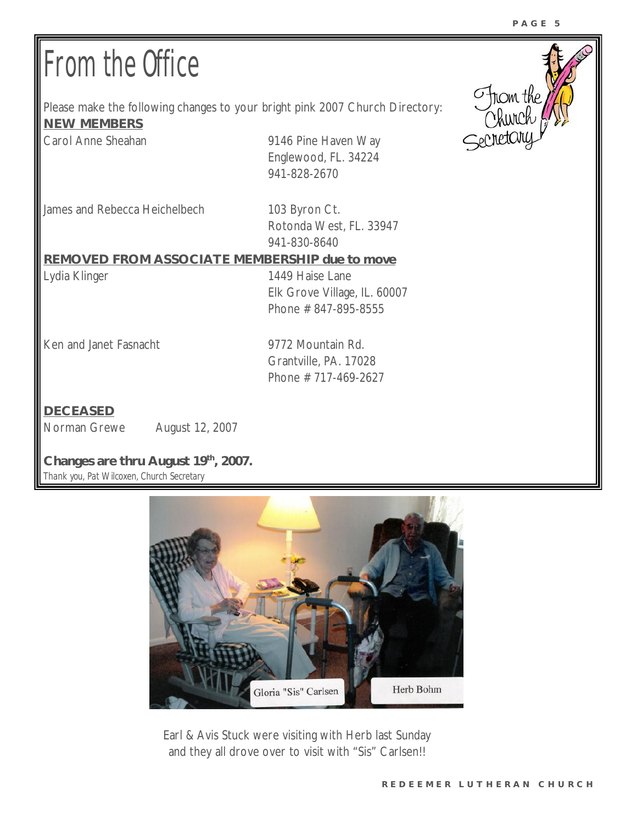## From the Office

Please make the following changes to your bright pink 2007 Church Directory: **NEW MEMBERS**

Carol Anne Sheahan 9146 Pine Haven Way Englewood, FL. 34224 941-828-2670

James and Rebecca Heichelbech 103 Byron Ct.

 Rotonda West, FL. 33947 941-830-8640

**REMOVED FROM ASSOCIATE MEMBERSHIP due to move**  Lydia Klinger **1449** Haise Lane

 Elk Grove Village, IL. 60007 Phone # 847-895-8555

Ken and Janet Fasnacht 19772 Mountain Rd.

 Grantville, PA. 17028 Phone # 717-469-2627

#### **DECEASED**

Norman Grewe August 12, 2007

**Changes are thru August 19th , 2007.** *Thank you, Pat Wilcoxen, Church Secretary*



 Earl & Avis Stuck were visiting with Herb last Sunday and they all drove over to visit with "Sis" Carlsen!!

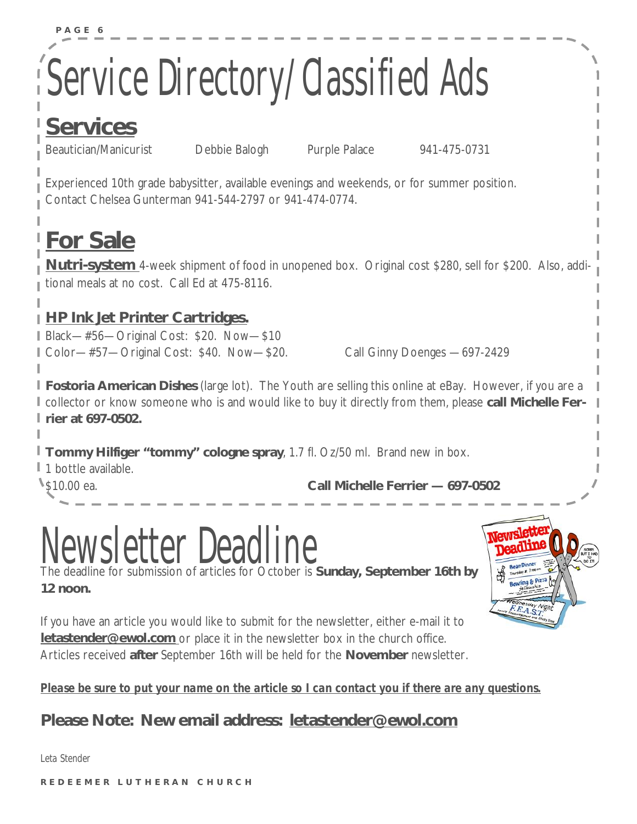# Service Directory/Classified Ads

## **Services**

**P A G E 6** 

Beautician/Manicurist Debbie Balogh Purple Palace 941-475-0731

Experienced 10th grade babysitter, available evenings and weekends, or for summer position. Contact Chelsea Gunterman 941-544-2797 or 941-474-0774.

## **For Sale**

**Nutri-system** 4-week shipment of food in unopened box. Original cost \$280, sell for \$200. Also, additional meals at no cost. Call Ed at 475-8116.

## **HP Ink Jet Printer Cartridges.**

Black—#56—Original Cost: \$20. Now—\$10 Color—#57—Original Cost: \$40. Now—\$20. Call Ginny Doenges —697-2429

**Fostoria American Dishes** (large lot). The Youth are selling this online at eBay. However, if you are a collector or know someone who is and would like to buy it directly from them, please **call Michelle Ferrier at 697-0502.** 

**Tommy Hilfiger "tommy" cologne spray**, 1.7 fl. Oz/50 ml. Brand new in box. I 1 bottle available.

\$10.00 ea. **Call Michelle Ferrier — 697-0502**

# atter Deadl

The deadline for submission of articles for October is **Sunday, September 16th by 12 noon.** 



If you have an article you would like to submit for the newsletter, either e-mail it to **[letastender@ewol.com](mailto:letastender@ewol.com)** or place it in the newsletter box in the church office. Articles received **after** September 16th will be held for the **November** newsletter.

### *Please be sure to put your name on the article so I can contact you if there are any questions.*

## **Please Note: New email address: [letastender@ewol.com](mailto:letastender@ewol.com)**

*Leta Stender*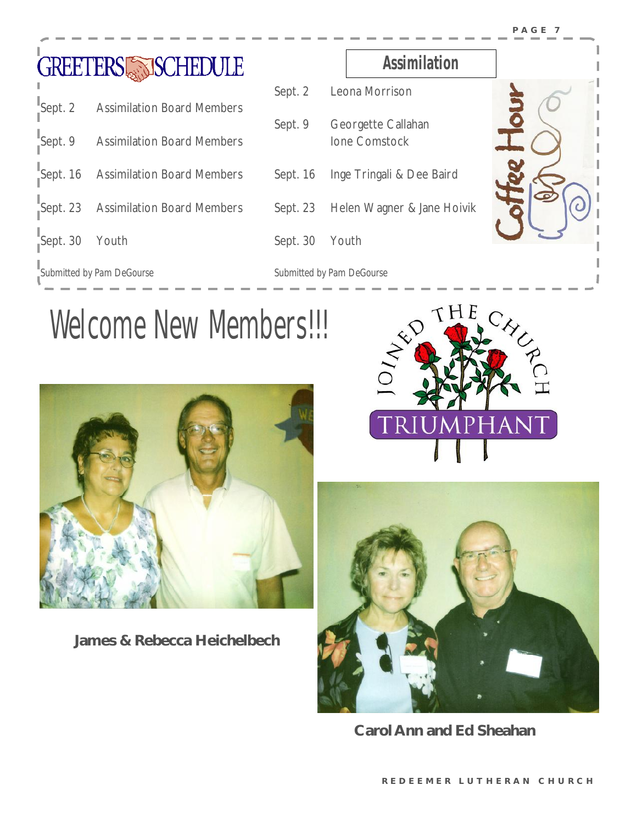## GREETERS SCHEDULE

|                           | Sept. 2 Assimilation Board Members  |  |  |
|---------------------------|-------------------------------------|--|--|
|                           | Sept. 9 Assimilation Board Members  |  |  |
|                           | Sept. 16 Assimilation Board Members |  |  |
|                           | Sept. 23 Assimilation Board Members |  |  |
| Sept. 30 Youth            |                                     |  |  |
| Submitted by Pam DeGourse |                                     |  |  |

|                           |       | <b>Assimilation</b>                        |   |  |
|---------------------------|-------|--------------------------------------------|---|--|
| Sept. 2                   |       | Leona Morrison                             | Ę |  |
| Sept. 9                   |       | Georgette Callahan<br><b>Ione Comstock</b> |   |  |
| Sept. 16                  |       | Inge Tringali & Dee Baird                  |   |  |
|                           |       | Sept. 23 Helen Wagner & Jane Hoivik        |   |  |
| Sept. 30                  | Youth |                                            |   |  |
| Submitted by Pam DeGourse |       |                                            |   |  |

## Welcome New Members!!!



 **James & Rebecca Heichelbech**





**Carol Ann and Ed Sheahan**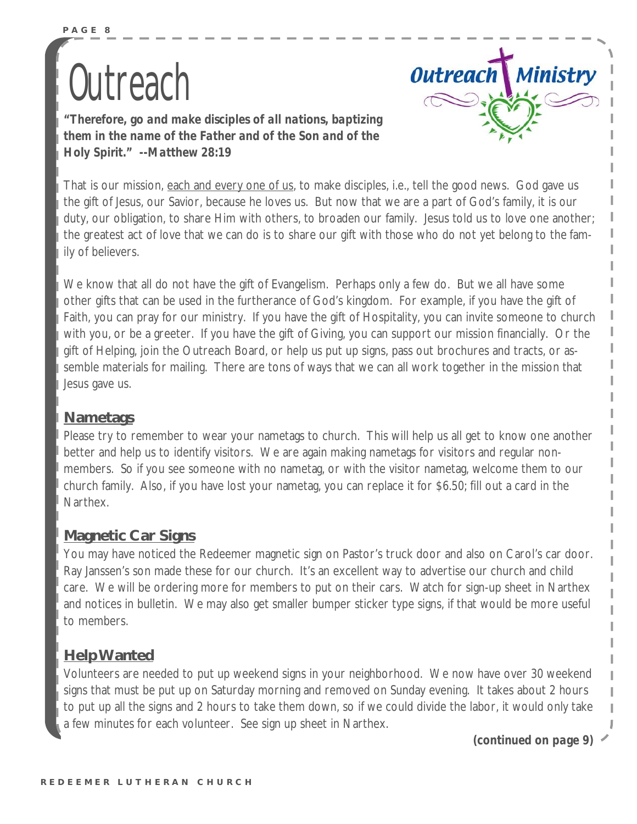**P A G E 8** 

# **Outreach**



*"Therefore, go and make disciples of all nations, baptizing them in the name of the Father and of the Son and of the Holy Spirit." --Matthew 28:19* 

That is our mission, each and every one of us, to make disciples, i.e., tell the good news. God gave us the gift of Jesus, our Savior, because he loves us. But now that we are a part of God's family, it is our duty, our obligation, to share Him with others, to broaden our family. Jesus told us to love one another; the greatest act of love that we can do is to share our gift with those who do not yet belong to the family of believers.

We know that all do not have the gift of Evangelism. Perhaps only a few do. But we all have some other gifts that can be used in the furtherance of God's kingdom. For example, if you have the gift of Faith, you can pray for our ministry. If you have the gift of Hospitality, you can invite someone to church with you, or be a greeter. If you have the gift of Giving, you can support our mission financially. Or the gift of Helping, join the Outreach Board, or help us put up signs, pass out brochures and tracts, or assemble materials for mailing. There are tons of ways that we can all work together in the mission that Jesus gave us.

### **Nametags**

Please try to remember to wear your nametags to church. This will help us all get to know one another better and help us to identify visitors. We are again making nametags for visitors and regular nonmembers. So if you see someone with no nametag, or with the visitor nametag, welcome them to our church family. Also, if you have lost your nametag, you can replace it for \$6.50; fill out a card in the Narthex.

### **Magnetic Car Signs**

You may have noticed the Redeemer magnetic sign on Pastor's truck door and also on Carol's car door. Ray Janssen's son made these for our church. It's an excellent way to advertise our church and child care. We will be ordering more for members to put on their cars. Watch for sign-up sheet in Narthex and notices in bulletin. We may also get smaller bumper sticker type signs, if that would be more useful to members.

## **HelpWanted**

Volunteers are needed to put up weekend signs in your neighborhood. We now have over 30 weekend signs that must be put up on Saturday morning and removed on Sunday evening. It takes about 2 hours to put up all the signs and 2 hours to take them down, so if we could divide the labor, it would only take a few minutes for each volunteer. See sign up sheet in Narthex.

*(continued on page 9)*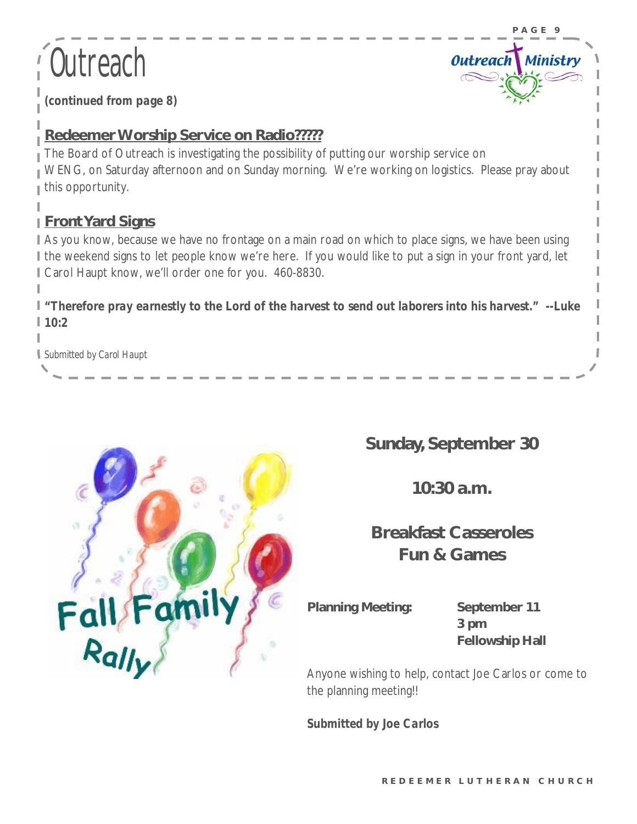# **Outreach**



*(continued from page 8)* 

## **RedeemerWorship Service on Radio?????**

The Board of Outreach is investigating the possibility of putting our worship service on WENG, on Saturday afternoon and on Sunday morning. We're working on logistics. Please pray about this opportunity.

## **FrontYard Signs**

As you know, because we have no frontage on a main road on which to place signs, we have been using I the weekend signs to let people know we're here. If you would like to put a sign in your front yard, let Carol Haupt know, we'll order one for you. 460-8830.

*"Therefore pray earnestly to the Lord of the harvest to send out laborers into his harvest." --Luke 10:2* 

*Submitted by Carol Haupt* 



**Sunday, September 30** 

**10:30 a.m.** 

**Breakfast Casseroles Fun & Games** 

**Planning Meeting: September 11** 

**3 pm Fellowship Hall** 

Anyone wishing to help, contact Joe Carlos or come to the planning meeting!!

*Submitted by Joe Carlos*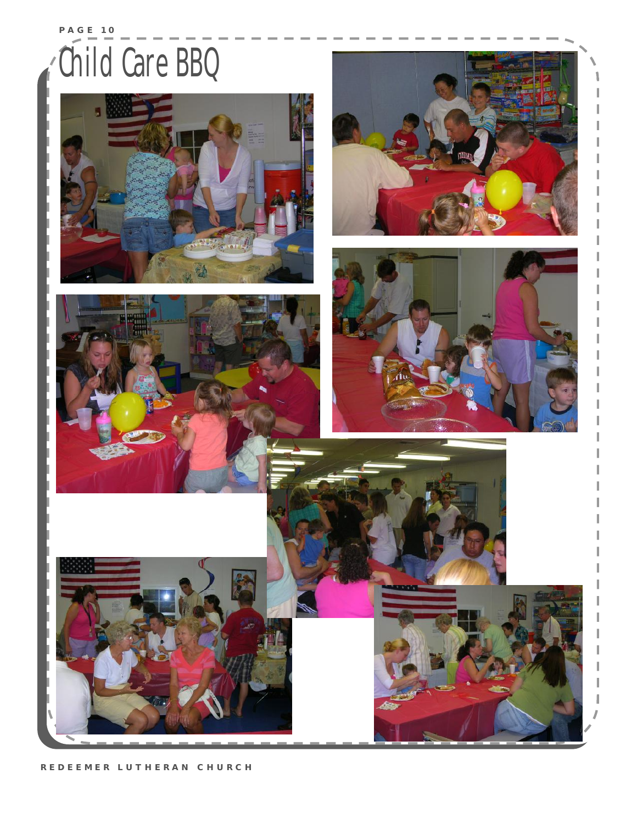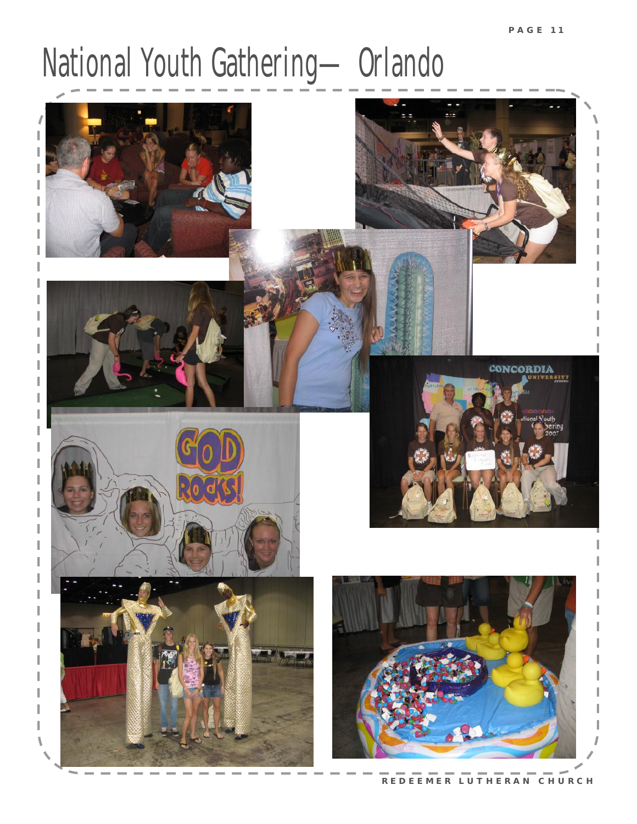# National Youth Gathering—Orlando



**R E D E E M E R L U T H E R A N C H U R CH**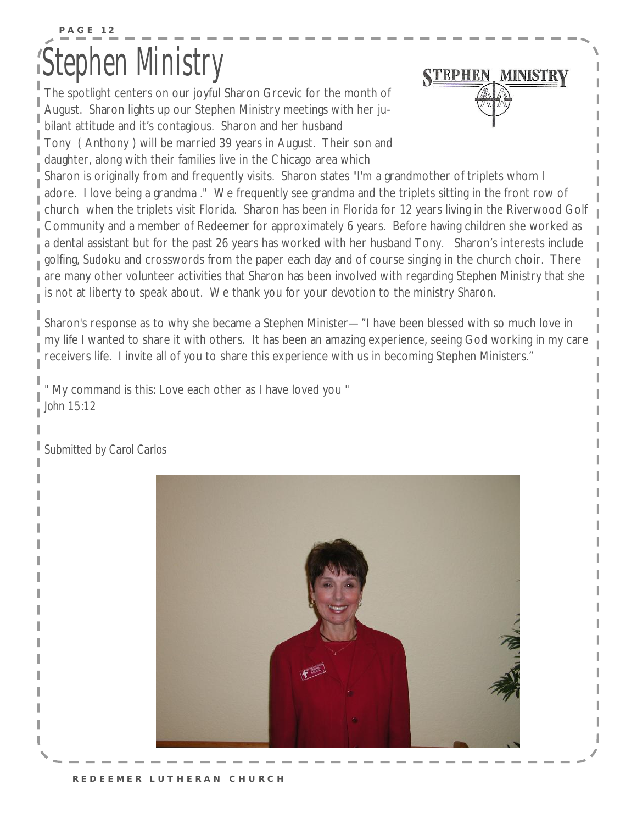## **P A G E 12**  Stephen Ministry

The spotlight centers on our joyful Sharon Grcevic for the month of August. Sharon lights up our Stephen Ministry meetings with her jubilant attitude and it's contagious. Sharon and her husband Tony ( Anthony ) will be married 39 years in August. Their son and daughter, along with their families live in the Chicago area which

**STEPHEN MINISTRY** 

Sharon is originally from and frequently visits. Sharon states "I'm a grandmother of triplets whom I adore. I love being a grandma ." We frequently see grandma and the triplets sitting in the front row of church when the triplets visit Florida. Sharon has been in Florida for 12 years living in the Riverwood Golf Community and a member of Redeemer for approximately 6 years. Before having children she worked as a dental assistant but for the past 26 years has worked with her husband Tony. Sharon's interests include golfing, Sudoku and crosswords from the paper each day and of course singing in the church choir. There are many other volunteer activities that Sharon has been involved with regarding Stephen Ministry that she is not at liberty to speak about. We thank you for your devotion to the ministry Sharon.

Sharon's response as to why she became a Stephen Minister—"I have been blessed with so much love in my life I wanted to share it with others. It has been an amazing experience, seeing God working in my care receivers life. I invite all of you to share this experience with us in becoming Stephen Ministers."

" My command is this: Love each other as I have loved you " *John 15:12*

*Submitted by Carol Carlos* 

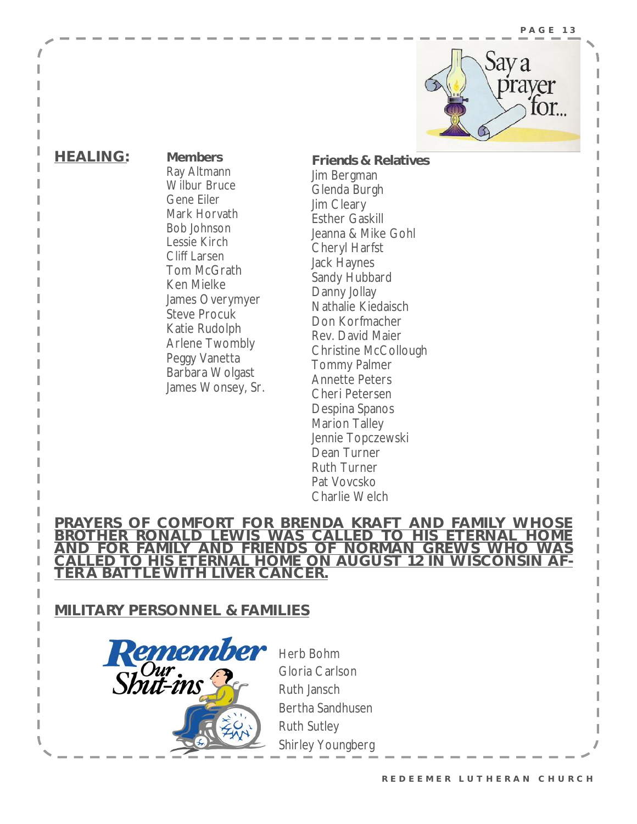**P A G E 13** 



#### **HEALING: Members**

Ray Altmann Wilbur Bruce Gene Eiler Mark Horvath Bob Johnson Lessie Kirch Cliff Larsen Tom McGrath Ken Mielke James Overymyer Steve Procuk Katie Rudolph Arlene Twombly Peggy Vanetta Barbara Wolgast James Wonsey, Sr.

**Friends & Relatives**  Jim Bergman Glenda Burgh Jim Cleary Esther Gaskill Jeanna & Mike Gohl Cheryl Harfst Jack Haynes Sandy Hubbard Danny Jollay Nathalie Kiedaisch Don Korfmacher Rev. David Maier Christine McCollough Tommy Palmer Annette Peters Cheri Petersen Despina Spanos Marion Talley Jennie Topczewski Dean Turner Ruth Turner Pat Vovcsko Charlie Welch

#### **PRAYERS OF COMFORT FOR BRENDA KRAFT AND FAMILY WHOSE BROTHER RONALD LEWIS WAS CALLED TO HIS ETERNAL HOME AND FOR FAMILY AND FRIENDS OF NORMAN GREWS WHO WAS CALLED TO HIS ETERNAL HOME ON AUGUST 12 IN WISCONSIN AF-TER A BATTLEWITH LIVER CANCER.**

### **MILITARY PERSONNEL & FAMILIES**



Herb Bohm Gloria Carlson Ruth Jansch Bertha Sandhusen Ruth Sutley Shirley Youngberg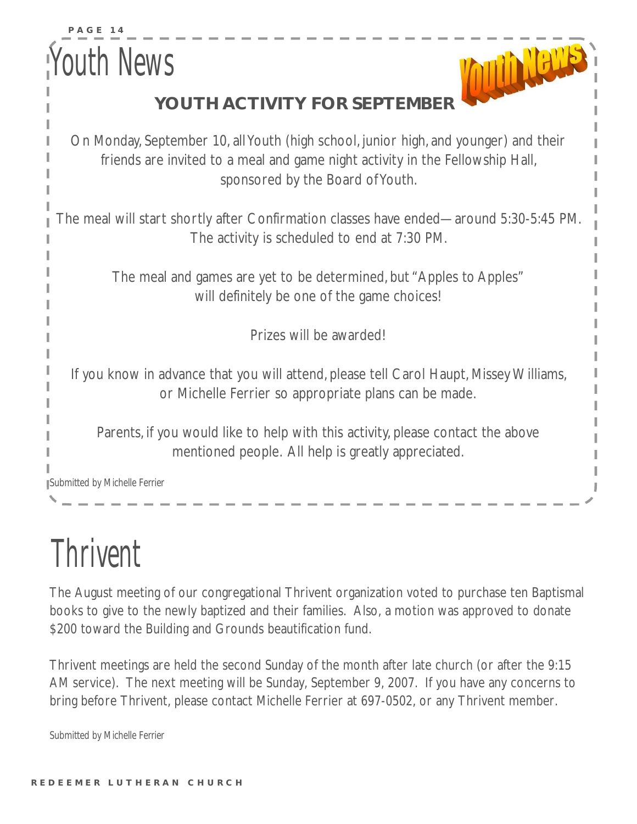## **P A G E 14**  Youth News



On Monday, September 10, allYouth (high school, junior high, and younger) and their friends are invited to a meal and game night activity in the Fellowship Hall, sponsored by the Board of Youth.

The meal will start shortly after Confirmation classes have ended—around 5:30-5:45 PM. The activity is scheduled to end at 7:30 PM.

> The meal and games are yet to be determined, but "Apples to Apples" will definitely be one of the game choices!

> > Prizes will be awarded!

If you know in advance that you will attend, please tell Carol Haupt, MisseyWilliams, or Michelle Ferrier so appropriate plans can be made.

Parents, if you would like to help with this activity, please contact the above mentioned people. All help is greatly appreciated.

*Submitted by Michelle Ferrier* 

## **Thrivent**

The August meeting of our congregational Thrivent organization voted to purchase ten Baptismal books to give to the newly baptized and their families. Also, a motion was approved to donate \$200 toward the Building and Grounds beautification fund.

Thrivent meetings are held the second Sunday of the month after late church (or after the 9:15 AM service). The next meeting will be Sunday, September 9, 2007. If you have any concerns to bring before Thrivent, please contact Michelle Ferrier at 697-0502, or any Thrivent member.

*Submitted by Michelle Ferrier*